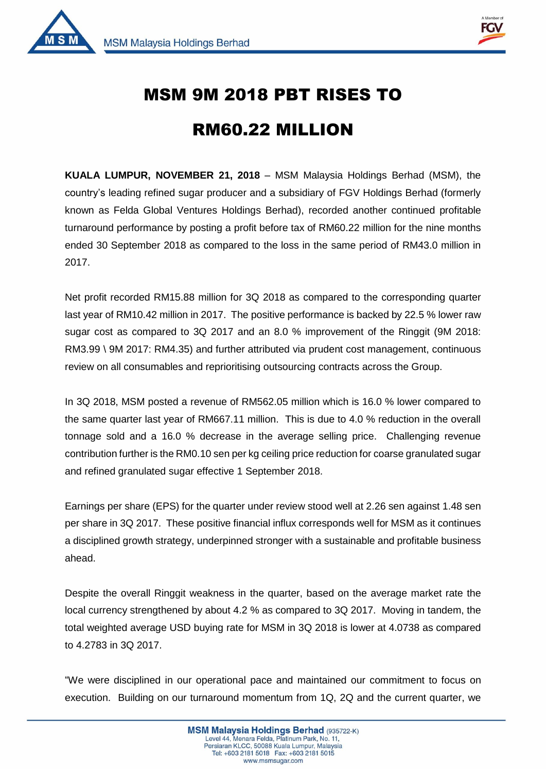



 $\overline{1}$ 

## MSM 9M 2018 PBT RISES TO

## RM60.22 MILLION

**KUALA LUMPUR, NOVEMBER 21, 2018** – MSM Malaysia Holdings Berhad (MSM), the country's leading refined sugar producer and a subsidiary of FGV Holdings Berhad (formerly known as Felda Global Ventures Holdings Berhad), recorded another continued profitable turnaround performance by posting a profit before tax of RM60.22 million for the nine months ended 30 September 2018 as compared to the loss in the same period of RM43.0 million in 2017.

Net profit recorded RM15.88 million for 3Q 2018 as compared to the corresponding quarter last year of RM10.42 million in 2017. The positive performance is backed by 22.5 % lower raw sugar cost as compared to 3Q 2017 and an 8.0 % improvement of the Ringgit (9M 2018: RM3.99 \ 9M 2017: RM4.35) and further attributed via prudent cost management, continuous review on all consumables and reprioritising outsourcing contracts across the Group.

In 3Q 2018, MSM posted a revenue of RM562.05 million which is 16.0 % lower compared to the same quarter last year of RM667.11 million. This is due to 4.0 % reduction in the overall tonnage sold and a 16.0 % decrease in the average selling price. Challenging revenue contribution further is the RM0.10 sen per kg ceiling price reduction for coarse granulated sugar and refined granulated sugar effective 1 September 2018.

Earnings per share (EPS) for the quarter under review stood well at 2.26 sen against 1.48 sen per share in 3Q 2017. These positive financial influx corresponds well for MSM as it continues a disciplined growth strategy, underpinned stronger with a sustainable and profitable business ahead.

Despite the overall Ringgit weakness in the quarter, based on the average market rate the local currency strengthened by about 4.2 % as compared to 3Q 2017. Moving in tandem, the total weighted average USD buying rate for MSM in 3Q 2018 is lower at 4.0738 as compared to 4.2783 in 3Q 2017.

"We were disciplined in our operational pace and maintained our commitment to focus on execution. Building on our turnaround momentum from 1Q, 2Q and the current quarter, we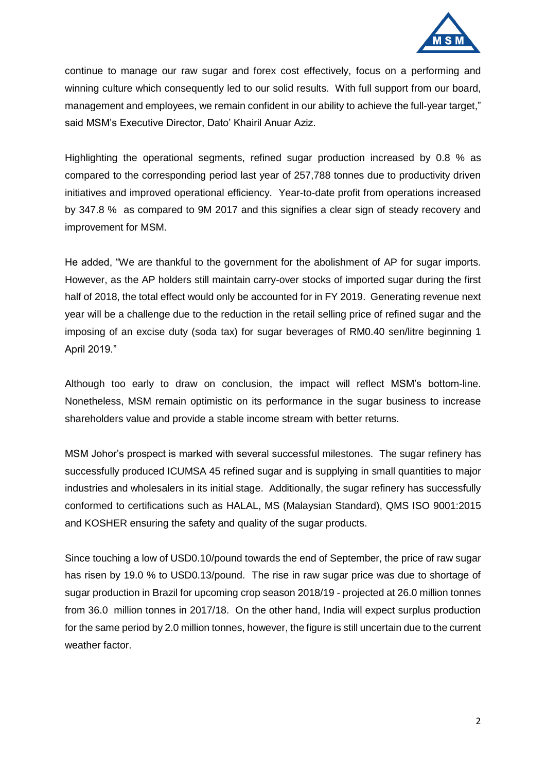

continue to manage our raw sugar and forex cost effectively, focus on a performing and winning culture which consequently led to our solid results. With full support from our board, management and employees, we remain confident in our ability to achieve the full-year target," said MSM's Executive Director, Dato' Khairil Anuar Aziz.

Highlighting the operational segments, refined sugar production increased by 0.8 % as compared to the corresponding period last year of 257,788 tonnes due to productivity driven initiatives and improved operational efficiency. Year-to-date profit from operations increased by 347.8 % as compared to 9M 2017 and this signifies a clear sign of steady recovery and improvement for MSM.

He added, "We are thankful to the government for the abolishment of AP for sugar imports. However, as the AP holders still maintain carry-over stocks of imported sugar during the first half of 2018, the total effect would only be accounted for in FY 2019. Generating revenue next year will be a challenge due to the reduction in the retail selling price of refined sugar and the imposing of an excise duty (soda tax) for sugar beverages of RM0.40 sen/litre beginning 1 April 2019."

Although too early to draw on conclusion, the impact will reflect MSM's bottom-line. Nonetheless, MSM remain optimistic on its performance in the sugar business to increase shareholders value and provide a stable income stream with better returns.

MSM Johor's prospect is marked with several successful milestones. The sugar refinery has successfully produced ICUMSA 45 refined sugar and is supplying in small quantities to major industries and wholesalers in its initial stage. Additionally, the sugar refinery has successfully conformed to certifications such as HALAL, MS (Malaysian Standard), QMS ISO 9001:2015 and KOSHER ensuring the safety and quality of the sugar products.

Since touching a low of USD0.10/pound towards the end of September, the price of raw sugar has risen by 19.0 % to USD0.13/pound. The rise in raw sugar price was due to shortage of sugar production in Brazil for upcoming crop season 2018/19 - projected at 26.0 million tonnes from 36.0 million tonnes in 2017/18. On the other hand, India will expect surplus production for the same period by 2.0 million tonnes, however, the figure is still uncertain due to the current weather factor.